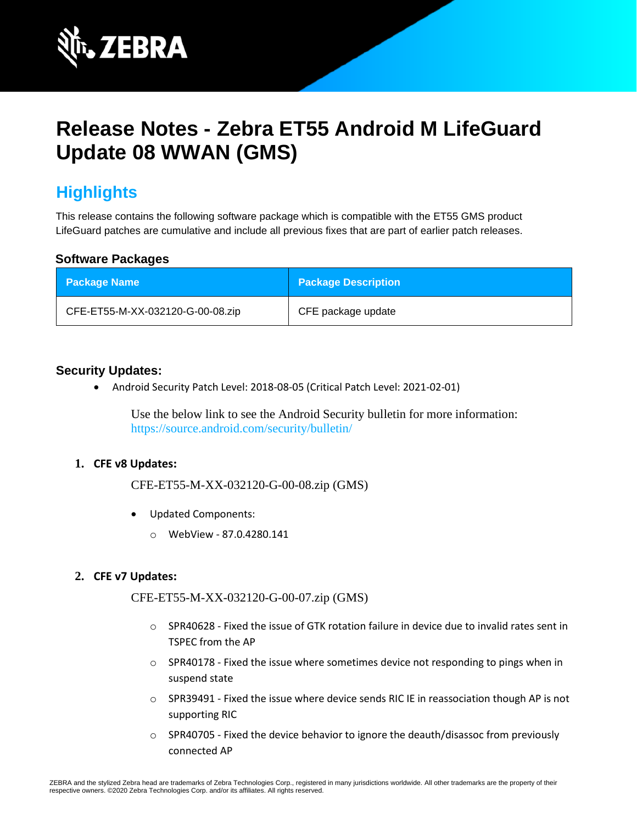

# **Release Notes - Zebra ET55 Android M LifeGuard Update 08 WWAN (GMS)**

# **Highlights**

This release contains the following software package which is compatible with the ET55 GMS product LifeGuard patches are cumulative and include all previous fixes that are part of earlier patch releases.

#### **Software Packages**

| <b>Package Name</b>              | <b>Package Description</b> |
|----------------------------------|----------------------------|
| CFE-ET55-M-XX-032120-G-00-08.zip | CFE package update         |

#### **Security Updates:**

• Android Security Patch Level: 2018-08-05 (Critical Patch Level: 2021-02-01)

Use the below link to see the Android Security bulletin for more information: <https://source.android.com/security/bulletin/>

#### **1. CFE v8 Updates:**

CFE-ET55-M-XX-032120-G-00-08.zip (GMS)

- Updated Components:
	- o WebView 87.0.4280.141

#### **2. CFE v7 Updates:**

CFE-ET55-M-XX-032120-G-00-07.zip (GMS)

- $\circ$  SPR40628 Fixed the issue of GTK rotation failure in device due to invalid rates sent in TSPEC from the AP
- $\circ$  SPR40178 Fixed the issue where sometimes device not responding to pings when in suspend state
- o SPR39491 Fixed the issue where device sends RIC IE in reassociation though AP is not supporting RIC
- $\circ$  SPR40705 Fixed the device behavior to ignore the deauth/disassoc from previously connected AP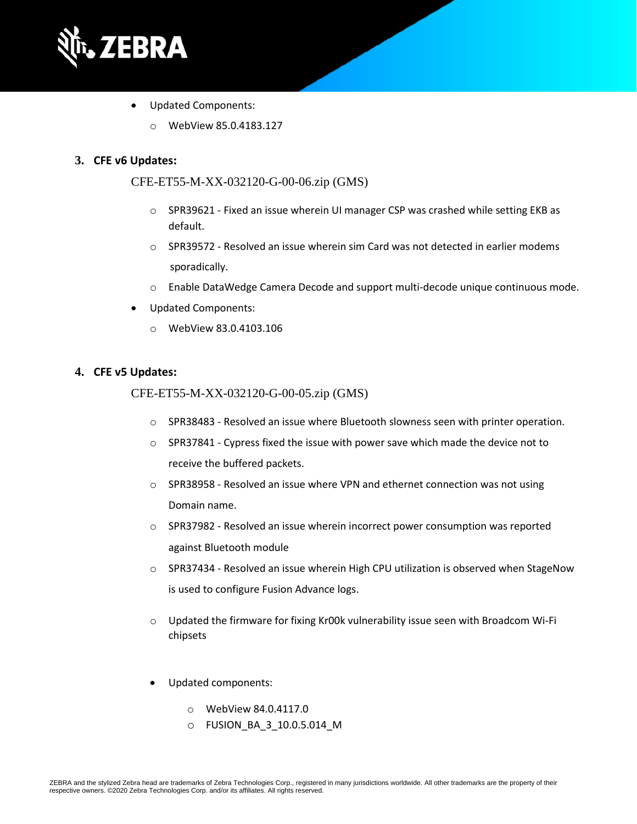

- Updated Components:
	- o WebView 85.0.4183.127

#### **3. CFE v6 Updates:**

CFE-ET55-M-XX-032120-G-00-06.zip (GMS)

- $\circ$  SPR39621 Fixed an issue wherein UI manager CSP was crashed while setting EKB as default.
- $\circ$  SPR39572 Resolved an issue wherein sim Card was not detected in earlier modems sporadically.
- o Enable DataWedge Camera Decode and support multi-decode unique continuous mode.
- Updated Components:
	- o WebView 83.0.4103.106

#### **4. CFE v5 Updates:**

#### CFE-ET55-M-XX-032120-G-00-05.zip (GMS)

- o SPR38483 Resolved an issue where Bluetooth slowness seen with printer operation.
- $\circ$  SPR37841 Cypress fixed the issue with power save which made the device not to receive the buffered packets.
- o SPR38958 Resolved an issue where VPN and ethernet connection was not using Domain name.
- $\circ$  SPR37982 Resolved an issue wherein incorrect power consumption was reported against Bluetooth module
- $\circ$  SPR37434 Resolved an issue wherein High CPU utilization is observed when StageNow is used to configure Fusion Advance logs.
- $\circ$  Updated the firmware for fixing Kr00k vulnerability issue seen with Broadcom Wi-Fi chipsets
- Updated components:
	- o WebView 84.0.4117.0
	- o FUSION\_BA\_3\_10.0.5.014\_M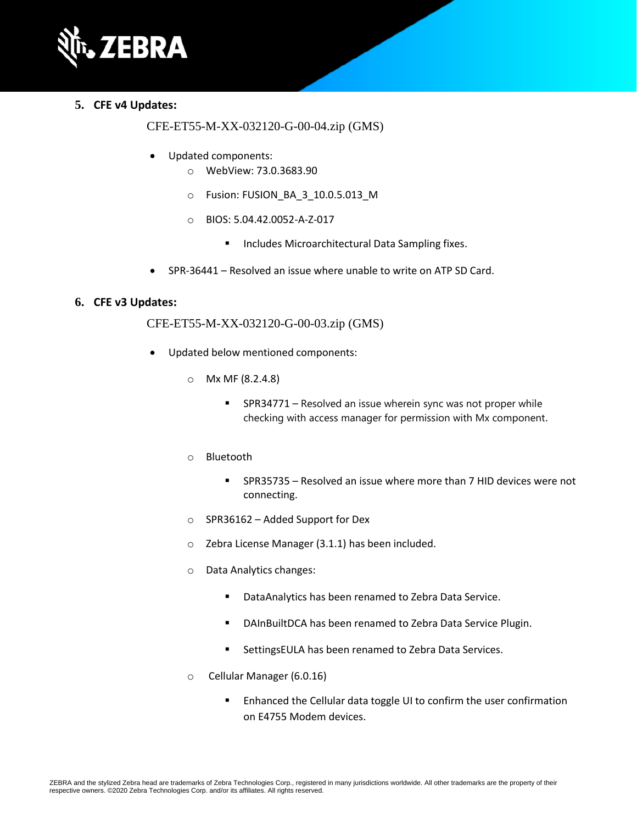

#### **5. CFE v4 Updates:**

#### CFE-ET55-M-XX-032120-G-00-04.zip (GMS)

- Updated components:
	- o WebView: 73.0.3683.90
	- o Fusion: FUSION\_BA\_3\_10.0.5.013\_M
	- o BIOS: 5.04.42.0052-A-Z-017
		- Includes Microarchitectural Data Sampling fixes.
- SPR-36441 Resolved an issue where unable to write on ATP SD Card.

#### **6. CFE v3 Updates:**

#### CFE-ET55-M-XX-032120-G-00-03.zip (GMS)

- Updated below mentioned components:
	- o Mx MF (8.2.4.8)
		- SPR34771 Resolved an issue wherein sync was not proper while checking with access manager for permission with Mx component.
	- o Bluetooth
		- SPR35735 Resolved an issue where more than 7 HID devices were not connecting.
	- o SPR36162 Added Support for Dex
	- o Zebra License Manager (3.1.1) has been included.
	- o Data Analytics changes:
		- DataAnalytics has been renamed to Zebra Data Service.
		- DAInBuiltDCA has been renamed to Zebra Data Service Plugin.
		- SettingsEULA has been renamed to Zebra Data Services.
	- o Cellular Manager (6.0.16)
		- Enhanced the Cellular data toggle UI to confirm the user confirmation on E4755 Modem devices.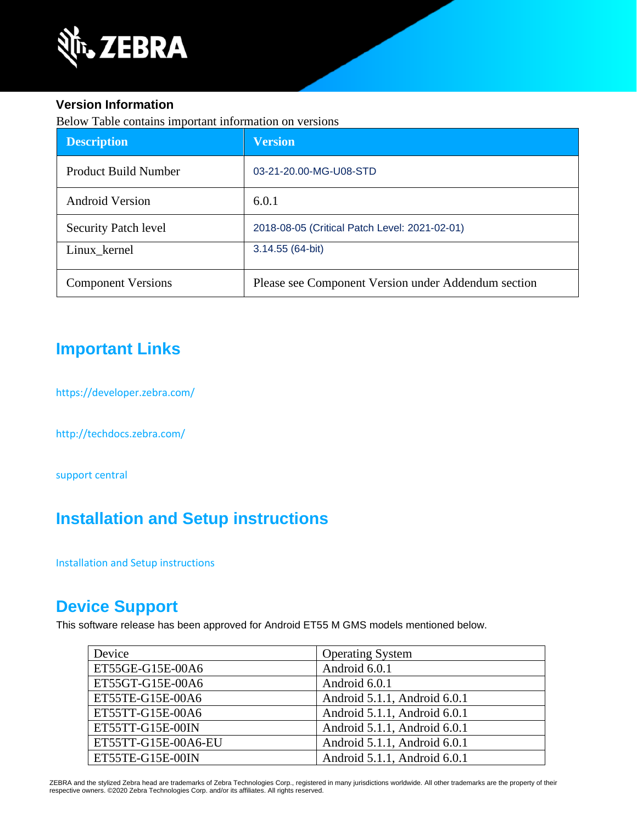

#### **Version Information**

Below Table contains important information on versions

| <b>Description</b>          | <b>Version</b>                                      |
|-----------------------------|-----------------------------------------------------|
| Product Build Number        | 03-21-20.00-MG-U08-STD                              |
| <b>Android Version</b>      | 6.0.1                                               |
| <b>Security Patch level</b> | 2018-08-05 (Critical Patch Level: 2021-02-01)       |
| Linux kernel                | 3.14.55 (64-bit)                                    |
| <b>Component Versions</b>   | Please see Component Version under Addendum section |

# **Important Links**

<https://developer.zebra.com/>

<http://techdocs.zebra.com/>

[support central](https://www.zebra.com/us/en/support-downloads/software/operating-system/et55-gms-operating-system.html)

# **Installation and Setup instructions**

[Installation and Setup instructions](https://www.zebra.com/content/dam/zebra_new_ia/en-us/software/operating-system/ET5X%20Operating%20System/ET55-M-GMS-OS-UPDATE-INSTRUCTIONS.pdf)

### **Device Support**

This software release has been approved for Android ET55 M GMS models mentioned below.

| Device              | <b>Operating System</b>      |  |
|---------------------|------------------------------|--|
| ET55GE-G15E-00A6    | Android 6.0.1                |  |
| ET55GT-G15E-00A6    | Android 6.0.1                |  |
| ET55TE-G15E-00A6    | Android 5.1.1, Android 6.0.1 |  |
| ET55TT-G15E-00A6    | Android 5.1.1, Android 6.0.1 |  |
| ET55TT-G15E-00IN    | Android 5.1.1, Android 6.0.1 |  |
| ET55TT-G15E-00A6-EU | Android 5.1.1, Android 6.0.1 |  |
| ET55TE-G15E-00IN    | Android 5.1.1, Android 6.0.1 |  |

ZEBRA and the stylized Zebra head are trademarks of Zebra Technologies Corp., registered in many jurisdictions worldwide. All other trademarks are the property of their respective owners. ©2020 Zebra Technologies Corp. and/or its affiliates. All rights reserved.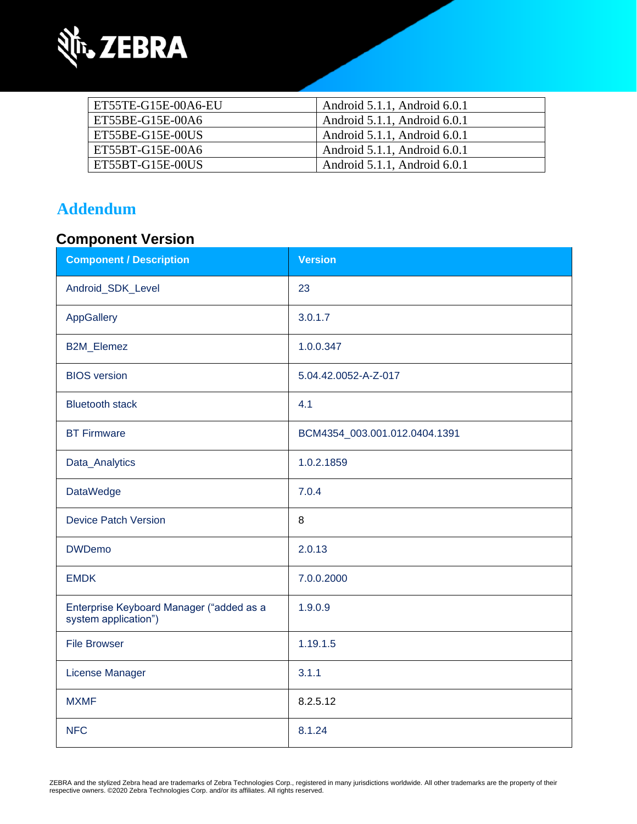

| ET55TE-G15E-00A6-EU | Android 5.1.1, Android 6.0.1 |  |
|---------------------|------------------------------|--|
| ET55BE-G15E-00A6    | Android 5.1.1, Android 6.0.1 |  |
| ET55BE-G15E-00US    | Android 5.1.1, Android 6.0.1 |  |
| ET55BT-G15E-00A6    | Android 5.1.1, Android 6.0.1 |  |
| ET55BT-G15E-00US    | Android 5.1.1, Android 6.0.1 |  |

### **Addendum**

# **Component Version**

| <b>Component / Description</b>                                   | <b>Version</b>                |  |
|------------------------------------------------------------------|-------------------------------|--|
| Android_SDK_Level                                                | 23                            |  |
| AppGallery                                                       | 3.0.1.7                       |  |
| B2M_Elemez                                                       | 1.0.0.347                     |  |
| <b>BIOS</b> version                                              | 5.04.42.0052-A-Z-017          |  |
| <b>Bluetooth stack</b>                                           | 4.1                           |  |
| <b>BT Firmware</b>                                               | BCM4354_003.001.012.0404.1391 |  |
| Data_Analytics                                                   | 1.0.2.1859                    |  |
| <b>DataWedge</b>                                                 | 7.0.4                         |  |
| <b>Device Patch Version</b>                                      | 8                             |  |
| <b>DWDemo</b>                                                    | 2.0.13                        |  |
| <b>EMDK</b>                                                      | 7.0.0.2000                    |  |
| Enterprise Keyboard Manager ("added as a<br>system application") | 1.9.0.9                       |  |
| <b>File Browser</b>                                              | 1.19.1.5                      |  |
| License Manager                                                  | 3.1.1                         |  |
| <b>MXMF</b>                                                      | 8.2.5.12                      |  |
| <b>NFC</b>                                                       | 8.1.24                        |  |